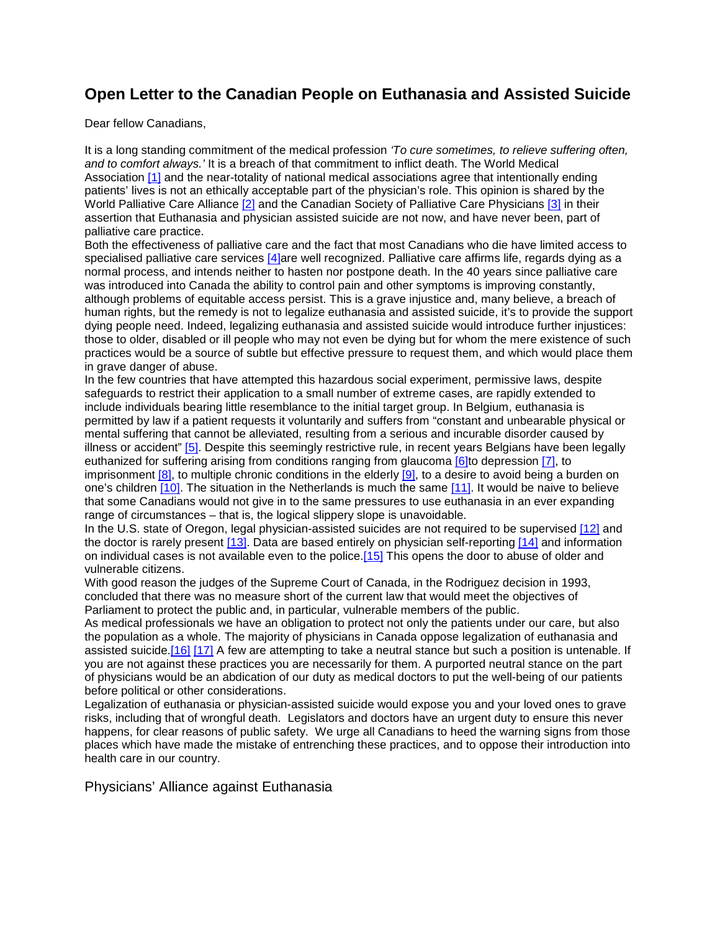## **Open Letter to the Canadian People on Euthanasia and Assisted Suicide**

Dear fellow Canadians,

It is a long standing commitment of the medical profession *'To cure sometimes, to relieve suffering often, and to comfort always.'* It is a breach of that commitment to inflict death. The World Medical Association [\[1\]](http://collectifmedecins.org/en/open-letter/#ftn1) and the near-totality of national medical associations agree that intentionally ending patients' lives is not an ethically acceptable part of the physician's role. This opinion is shared by the World Palliative Care Alliance [\[2\]](http://collectifmedecins.org/en/open-letter/#ftn2) and the Canadian Society of Palliative Care Physicians [\[3\]](http://collectifmedecins.org/en/open-letter/#ftn3) in their assertion that Euthanasia and physician assisted suicide are not now, and have never been, part of palliative care practice.

Both the effectiveness of palliative care and the fact that most Canadians who die have limited access to specialised palliative care services [\[4\]a](http://collectifmedecins.org/en/open-letter/#ftn4)re well recognized. Palliative care affirms life, regards dying as a normal process, and intends neither to hasten nor postpone death. In the 40 years since palliative care was introduced into Canada the ability to control pain and other symptoms is improving constantly, although problems of equitable access persist. This is a grave injustice and, many believe, a breach of human rights, but the remedy is not to legalize euthanasia and assisted suicide, it's to provide the support dying people need. Indeed, legalizing euthanasia and assisted suicide would introduce further injustices: those to older, disabled or ill people who may not even be dying but for whom the mere existence of such practices would be a source of subtle but effective pressure to request them, and which would place them in grave danger of abuse.

In the few countries that have attempted this hazardous social experiment, permissive laws, despite safeguards to restrict their application to a small number of extreme cases, are rapidly extended to include individuals bearing little resemblance to the initial target group. In Belgium, euthanasia is permitted by law if a patient requests it voluntarily and suffers from "constant and unbearable physical or mental suffering that cannot be alleviated, resulting from a serious and incurable disorder caused by illness or accident" [\[5\].](http://collectifmedecins.org/en/open-letter/#ftn5) Despite this seemingly restrictive rule, in recent years Belgians have been legally euthanized for suffering arising from conditions ranging from glaucoma [\[6\]t](http://collectifmedecins.org/en/open-letter/#ftn6)o depression [\[7\],](http://collectifmedecins.org/en/open-letter/#ftn7) to imprisonment [\[8\],](http://collectifmedecins.org/en/open-letter/#ftn8) to multiple chronic conditions in the elderly [\[9\],](http://collectifmedecins.org/en/open-letter/#ftn9) to a desire to avoid being a burden on one's children [\[10\].](http://collectifmedecins.org/en/open-letter/#ftn10) The situation in the Netherlands is much the same [\[11\].](http://collectifmedecins.org/en/open-letter/#ftn11) It would be naive to believe that some Canadians would not give in to the same pressures to use euthanasia in an ever expanding range of circumstances – that is, the logical slippery slope is unavoidable.

In the U.S. state of Oregon, legal physician-assisted suicides are not required to be supervised [\[12\]](http://collectifmedecins.org/en/open-letter/#ftn12) and the doctor is rarely present [\[13\].](http://collectifmedecins.org/en/open-letter/#ftn13) Data are based entirely on physician self-reporting [\[14\]](http://collectifmedecins.org/en/open-letter/#ftn14) and information on individual cases is not available even to the police[.\[15\]](http://collectifmedecins.org/en/open-letter/#ftn15) This opens the door to abuse of older and vulnerable citizens.

With good reason the judges of the Supreme Court of Canada, in the Rodriguez decision in 1993, concluded that there was no measure short of the current law that would meet the objectives of Parliament to protect the public and, in particular, vulnerable members of the public.

As medical professionals we have an obligation to protect not only the patients under our care, but also the population as a whole. The majority of physicians in Canada oppose legalization of euthanasia and assisted suicide[.\[16\]](http://collectifmedecins.org/en/open-letter/#ftn16) [\[17\]](http://collectifmedecins.org/en/open-letter/#ftn17) A few are attempting to take a neutral stance but such a position is untenable. If you are not against these practices you are necessarily for them. A purported neutral stance on the part of physicians would be an abdication of our duty as medical doctors to put the well-being of our patients before political or other considerations.

Legalization of euthanasia or physician-assisted suicide would expose you and your loved ones to grave risks, including that of wrongful death. Legislators and doctors have an urgent duty to ensure this never happens, for clear reasons of public safety. We urge all Canadians to heed the warning signs from those places which have made the mistake of entrenching these practices, and to oppose their introduction into health care in our country.

Physicians' Alliance against Euthanasia